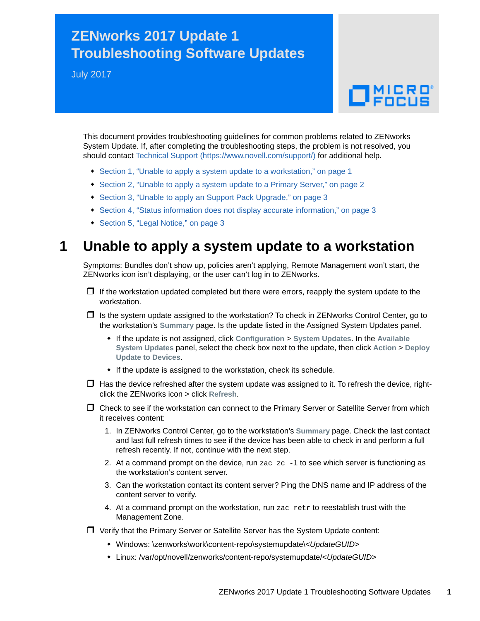# **ZENworks 2017 Update 1 Troubleshooting Software Updates**

July 2017

# $\Box$ MICRO

This document provides troubleshooting guidelines for common problems related to ZENworks System Update. If, after completing the troubleshooting steps, the problem is not resolved, you should contact [Technical Support](https://www.novell.com/support/) (https://www.novell.com/support/) for additional help.

- [Section 1, "Unable to apply a system update to a workstation," on page 1](#page-0-0)
- [Section 2, "Unable to apply a system update to a Primary Server," on page 2](#page-1-0)
- [Section 3, "Unable to apply an Support Pack Upgrade," on page 3](#page-2-0)
- [Section 4, "Status information does not display accurate information," on page 3](#page-2-1)
- ◆ [Section 5, "Legal Notice," on page 3](#page-2-2)

## <span id="page-0-0"></span>**1 Unable to apply a system update to a workstation**

Symptoms: Bundles don't show up, policies aren't applying, Remote Management won't start, the ZENworks icon isn't displaying, or the user can't log in to ZENworks.

- $\Box$  If the workstation updated completed but there were errors, reapply the system update to the workstation.
- $\Box$  Is the system update assigned to the workstation? To check in ZENworks Control Center, go to the workstation's **Summary** page. Is the update listed in the Assigned System Updates panel.
	- If the update is not assigned, click **Configuration** > **System Updates**. In the **Available System Updates** panel, select the check box next to the update, then click **Action** > **Deploy Update to Devices**.
	- If the update is assigned to the workstation, check its schedule.
- $\Box$  Has the device refreshed after the system update was assigned to it. To refresh the device, rightclick the ZENworks icon > click **Refresh**.
- □ Check to see if the workstation can connect to the Primary Server or Satellite Server from which it receives content:
	- 1. In ZENworks Control Center, go to the workstation's **Summary** page. Check the last contact and last full refresh times to see if the device has been able to check in and perform a full refresh recently. If not, continue with the next step.
	- 2. At a command prompt on the device, run zac  $ze -1$  to see which server is functioning as the workstation's content server.
	- 3. Can the workstation contact its content server? Ping the DNS name and IP address of the content server to verify.
	- 4. At a command prompt on the workstation, run zac retr to reestablish trust with the Management Zone.
- Verify that the Primary Server or Satellite Server has the System Update content:
	- Windows: \zenworks\work\content-repo\systemupdate\<*UpdateGUID*>
	- Linux: /var/opt/novell/zenworks/content-repo/systemupdate/<*UpdateGUID*>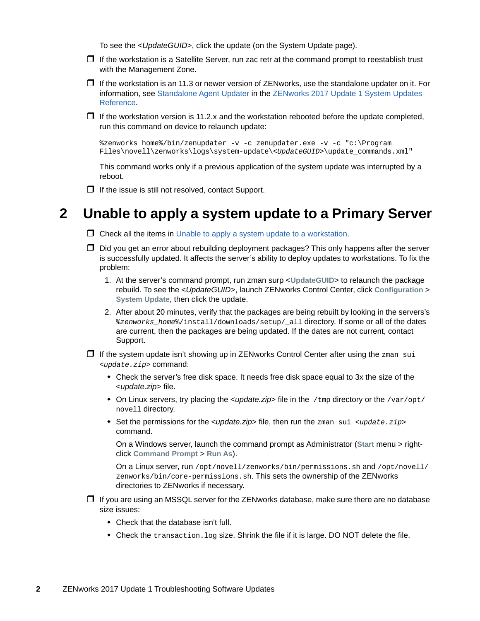To see the <*UpdateGUID*>, click the update (on the System Update page).

- $\Box$  If the workstation is a Satellite Server, run zac retr at the command prompt to reestablish trust with the Management Zone.
- $\Box$  If the workstation is an 11.3 or newer version of ZENworks, use the standalone updater on it. For information, see [Standalone Agent Updater](https://www.novell.com/documentation/zenworks2017/pdfdoc/zen_sys_updates/zen_sys_updates.pdf#b18h06hw) in the [ZENworks 2017 Update 1 System Updates](https://www.novell.com/documentation/zenworks2017/pdfdoc/zen_sys_updates/zen_sys_updates.pdf#bookinfo)  Reference.
- $\Box$  If the workstation version is 11.2.x and the workstation rebooted before the update completed, run this command on device to relaunch update:

```
%zenworks_home%/bin/zenupdater -v -c zenupdater.exe -v -c "c:\Program 
Files\novell\zenworks\logs\system-update\<UpdateGUID>\update_commands.xml"
```
This command works only if a previous application of the system update was interrupted by a reboot.

 $\Box$  If the issue is still not resolved, contact Support.

#### <span id="page-1-0"></span>**2 Unable to apply a system update to a Primary Server**

- $\Box$  Check all the items in [Unable to apply a system update to a workstation](#page-0-0).
- $\Box$  Did you get an error about rebuilding deployment packages? This only happens after the server is successfully updated. It affects the server's ability to deploy updates to workstations. To fix the problem:
	- 1. At the server's command prompt, run zman surp <**UpdateGUID**> to relaunch the package rebuild. To see the <*UpdateGUID*>, launch ZENworks Control Center, click **Configuration** > **System Update**, then click the update.
	- 2. After about 20 minutes, verify that the packages are being rebuilt by looking in the servers's %*zenworks\_home*%/install/downloads/setup/\_all directory. If some or all of the dates are current, then the packages are being updated. If the dates are not current, contact Support.
- $\Box$  If the system update isn't showing up in ZENworks Control Center after using the  $z_{\text{man}}$  sui <*update.zip*> command:
	- Check the server's free disk space. It needs free disk space equal to 3x the size of the <*update.zip*> file.
	- On Linux servers, try placing the *<update.zip*> file in the /tmp directory or the /var/opt/ novell directory.
	- Set the permissions for the <*update.zip*> file, then run the zman sui <*update.zip*> command.

On a Windows server, launch the command prompt as Administrator (**Start** menu > rightclick **Command Prompt** > **Run As**).

On a Linux server, run /opt/novell/zenworks/bin/permissions.sh and /opt/novell/ zenworks/bin/core-permissions.sh. This sets the ownership of the ZENworks directories to ZENworks if necessary.

- $\Box$  If you are using an MSSQL server for the ZENworks database, make sure there are no database size issues:
	- Check that the database isn't full.
	- $\bullet$  Check the transaction. log size. Shrink the file if it is large. DO NOT delete the file.